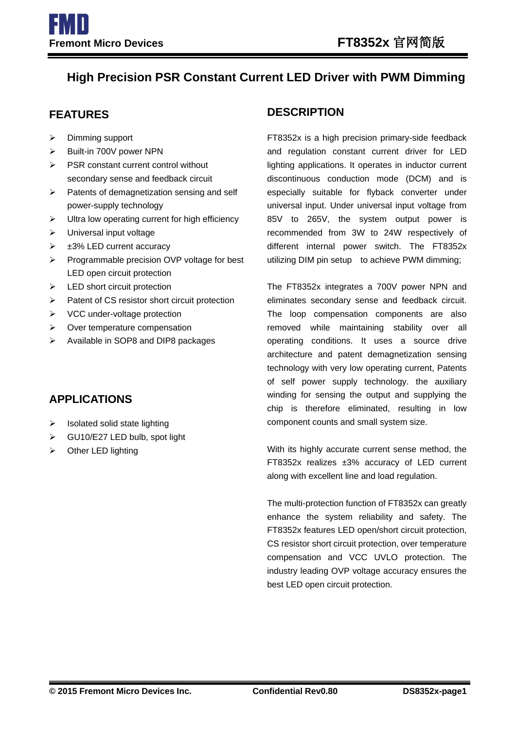# **High Precision PSR Constant Current LED Driver with PWM Dimming**

- $\triangleright$  Dimming support
- > Built-in 700V power NPN
- PSR constant current control without secondary sense and feedback circuit
- $\triangleright$  Patents of demagnetization sensing and self power-supply technology
- $\triangleright$  Ultra low operating current for high efficiency
- > Universal input voltage
- $\geq$   $\pm$ 3% LED current accuracy
- $\triangleright$  Programmable precision OVP voltage for best LED open circuit protection
- $\blacktriangleright$  LED short circuit protection
- $\triangleright$  Patent of CS resistor short circuit protection
- $\triangleright$  VCC under-voltage protection
- $\triangleright$  Over temperature compensation
- Available in SOP8 and DIP8 packages

## **APPLICATIONS**

- $\triangleright$  Isolated solid state lighting
- GU10/E27 LED bulb, spot light
- $\triangleright$  Other LED lighting

### **FEATURES DESCRIPTION**

FT8352x is a high precision primary-side feedback and regulation constant current driver for LED lighting applications. It operates in inductor current discontinuous conduction mode (DCM) and is especially suitable for flyback converter under universal input. Under universal input voltage from 85V to 265V, the system output power is recommended from 3W to 24W respectively of different internal power switch. The FT8352x utilizing DIM pin setup to achieve PWM dimming;

The FT8352x integrates a 700V power NPN and eliminates secondary sense and feedback circuit. The loop compensation components are also removed while maintaining stability over all operating conditions. It uses a source drive architecture and patent demagnetization sensing technology with very low operating current, Patents of self power supply technology. the auxiliary winding for sensing the output and supplying the chip is therefore eliminated, resulting in low component counts and small system size.

With its highly accurate current sense method, the FT8352x realizes ±3% accuracy of LED current along with excellent line and load regulation.

The multi-protection function of FT8352x can greatly enhance the system reliability and safety. The FT8352x features LED open/short circuit protection, CS resistor short circuit protection, over temperature compensation and VCC UVLO protection. The industry leading OVP voltage accuracy ensures the best LED open circuit protection.